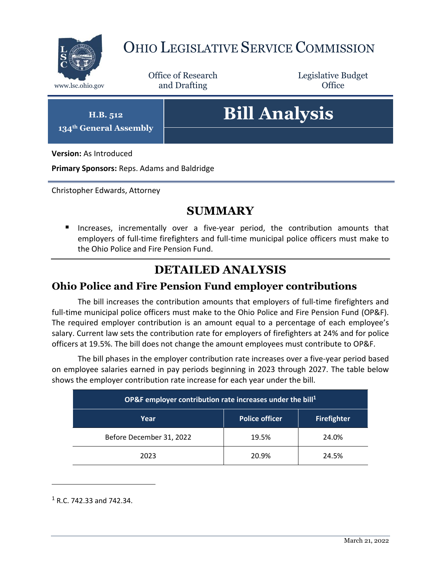

## OHIO LEGISLATIVE SERVICE COMMISSION

Office of Research www.lsc.ohio.gov **and Drafting Office** 

Legislative Budget

**H.B. 512 134th General Assembly**

# **Bill Analysis**

**Version:** As Introduced

**Primary Sponsors:** Reps. Adams and Baldridge

Christopher Edwards, Attorney

#### **SUMMARY**

 Increases, incrementally over a five-year period, the contribution amounts that employers of full-time firefighters and full-time municipal police officers must make to the Ohio Police and Fire Pension Fund.

### **DETAILED ANALYSIS**

#### **Ohio Police and Fire Pension Fund employer contributions**

The bill increases the contribution amounts that employers of full-time firefighters and full-time municipal police officers must make to the Ohio Police and Fire Pension Fund (OP&F). The required employer contribution is an amount equal to a percentage of each employee's salary. Current law sets the contribution rate for employers of firefighters at 24% and for police officers at 19.5%. The bill does not change the amount employees must contribute to OP&F.

The bill phases in the employer contribution rate increases over a five-year period based on employee salaries earned in pay periods beginning in 2023 through 2027. The table below shows the employer contribution rate increase for each year under the bill.

| OP&F employer contribution rate increases under the bill <sup>1</sup> |                       |                    |
|-----------------------------------------------------------------------|-----------------------|--------------------|
| Year                                                                  | <b>Police officer</b> | <b>Firefighter</b> |
| Before December 31, 2022                                              | 19.5%                 | 24.0%              |
| 2023                                                                  | 20.9%                 | 24.5%              |

<sup>1</sup> R.C. 742.33 and 742.34.

 $\overline{a}$